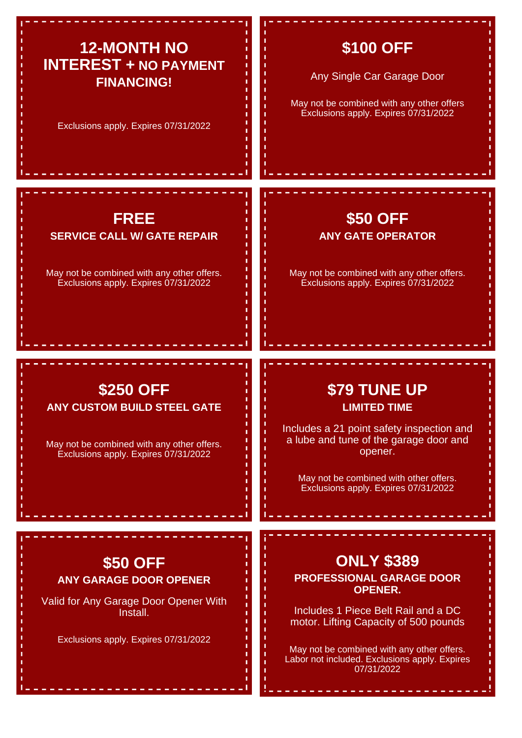# **12-MONTH NO INTEREST + NO PAYMENT FINANCING!**

Exclusions apply. Expires 07/31/2022

## **\$100 OFF**

Any Single Car Garage Door

May not be combined with any other offers Exclusions apply. Expires 07/31/2022

> **\$50 OFF ANY GATE OPERATOR**

May not be combined with any other offers. Exclusions apply. Expires 07/31/2022

#### **FREE SERVICE CALL W/ GATE REPAIR**

May not be combined with any other offers. Exclusions apply. Expires 07/31/2022

### **\$250 OFF ANY CUSTOM BUILD STEEL GATE**

May not be combined with any other offers. Exclusions apply. Expires 07/31/2022

# **\$79 TUNE UP LIMITED TIME**

Includes a 21 point safety inspection and a lube and tune of the garage door and opener.

May not be combined with other offers. Exclusions apply. Expires 07/31/2022

## **\$50 OFF ANY GARAGE DOOR OPENER**

Valid for Any Garage Door Opener With Install.

Exclusions apply. Expires 07/31/2022

# **ONLY \$389**

**PROFESSIONAL GARAGE DOOR OPENER.**

Includes 1 Piece Belt Rail and a DC motor. Lifting Capacity of 500 pounds

May not be combined with any other offers. Labor not included. Exclusions apply. Expires 07/31/2022